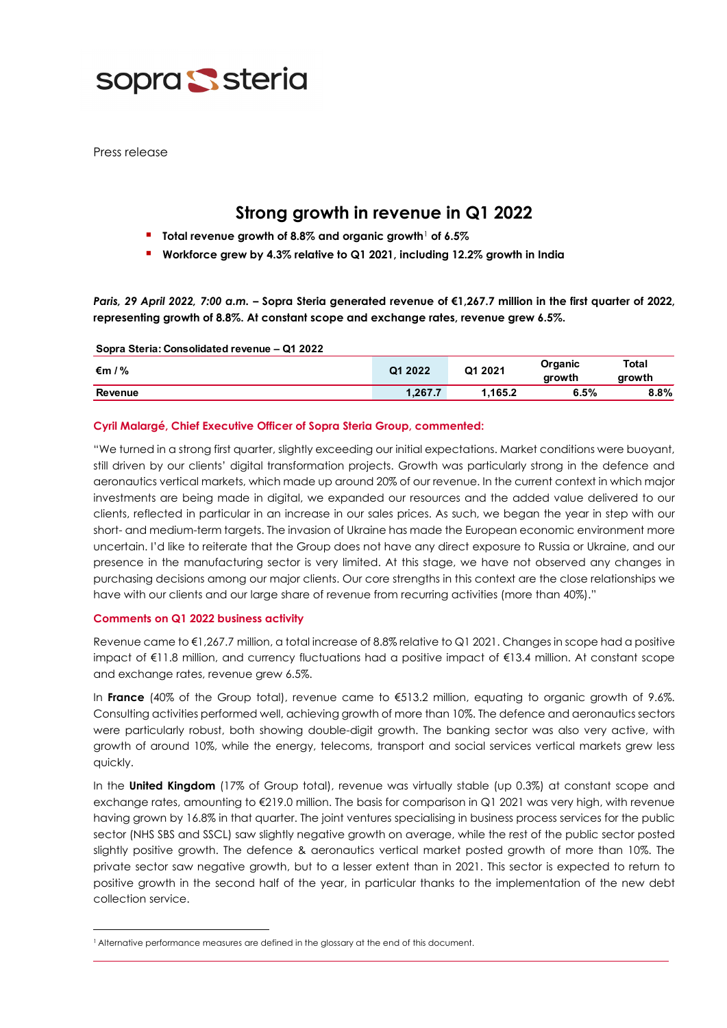

Press release

# **Strong growth in revenue in Q1 2022**

- **Total revenue growth of 8.8% and organic growth**[1](#page-0-0) **of 6.5%**
- **Workforce grew by 4.3% relative to Q1 2021, including 12.2% growth in India**

*Paris, 29 April 2022, 7:00 a.m.* **– Sopra Steria generated revenue of €1,267.7 million in the first quarter of 2022, representing growth of 8.8%. At constant scope and exchange rates, revenue grew 6.5%.**

#### **Sopra Steria: Consolidated revenue – Q1 2022**

| 1%<br>€m       | Q1 2022 | Q1 2021 | Organic<br>arowth | Total<br>growth |
|----------------|---------|---------|-------------------|-----------------|
| <b>Revenue</b> | 1.267.7 | 1.165.2 | 6.5%              | $8.8\%$         |

### **Cyril Malargé, Chief Executive Officer of Sopra Steria Group, commented:**

"We turned in a strong first quarter, slightly exceeding our initial expectations. Market conditions were buoyant, still driven by our clients' digital transformation projects. Growth was particularly strong in the defence and aeronautics vertical markets, which made up around 20% of our revenue. In the current context in which major investments are being made in digital, we expanded our resources and the added value delivered to our clients, reflected in particular in an increase in our sales prices. As such, we began the year in step with our short- and medium-term targets. The invasion of Ukraine has made the European economic environment more uncertain. I'd like to reiterate that the Group does not have any direct exposure to Russia or Ukraine, and our presence in the manufacturing sector is very limited. At this stage, we have not observed any changes in purchasing decisions among our major clients. Our core strengths in this context are the close relationships we have with our clients and our large share of revenue from recurring activities (more than 40%)."

### **Comments on Q1 2022 business activity**

Revenue came to €1,267.7 million, a total increase of 8.8% relative to Q1 2021. Changes in scope had a positive impact of €11.8 million, and currency fluctuations had a positive impact of €13.4 million. At constant scope and exchange rates, revenue grew 6.5%.

In **France** (40% of the Group total), revenue came to €513.2 million, equating to organic growth of 9.6%. Consulting activities performed well, achieving growth of more than 10%. The defence and aeronautics sectors were particularly robust, both showing double-digit growth. The banking sector was also very active, with growth of around 10%, while the energy, telecoms, transport and social services vertical markets grew less quickly.

In the **United Kingdom** (17% of Group total), revenue was virtually stable (up 0.3%) at constant scope and exchange rates, amounting to €219.0 million. The basis for comparison in Q1 2021 was very high, with revenue having grown by 16.8% in that quarter. The joint ventures specialising in business process services for the public sector (NHS SBS and SSCL) saw slightly negative growth on average, while the rest of the public sector posted slightly positive growth. The defence & aeronautics vertical market posted growth of more than 10%. The private sector saw negative growth, but to a lesser extent than in 2021. This sector is expected to return to positive growth in the second half of the year, in particular thanks to the implementation of the new debt collection service.

<span id="page-0-0"></span><sup>1</sup> Alternative performance measures are defined in the glossary at the end of this document.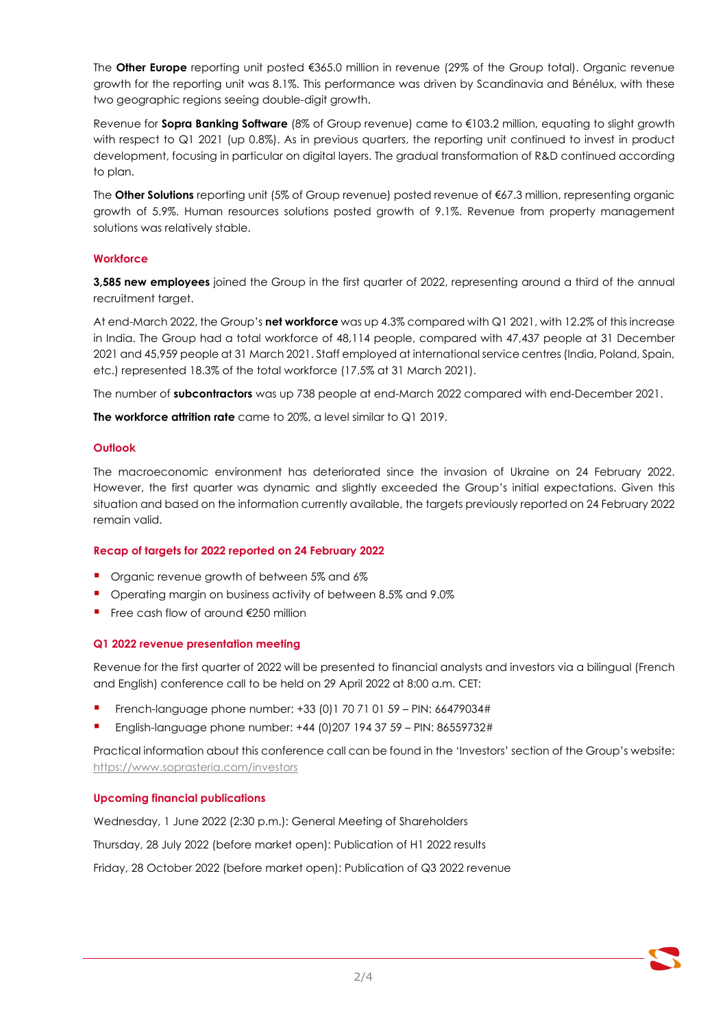The **Other Europe** reporting unit posted €365.0 million in revenue (29% of the Group total). Organic revenue growth for the reporting unit was 8.1%. This performance was driven by Scandinavia and Bénélux, with these two geographic regions seeing double-digit growth.

Revenue for **Sopra Banking Software** (8% of Group revenue) came to €103.2 million, equating to slight growth with respect to Q1 2021 (up 0.8%). As in previous quarters, the reporting unit continued to invest in product development, focusing in particular on digital layers. The gradual transformation of R&D continued according to plan.

The **Other Solutions** reporting unit (5% of Group revenue) posted revenue of €67.3 million, representing organic growth of 5.9%. Human resources solutions posted growth of 9.1%. Revenue from property management solutions was relatively stable.

# **Workforce**

**3,585 new employees** joined the Group in the first quarter of 2022, representing around a third of the annual recruitment target.

At end-March 2022, the Group's **net workforce** was up 4.3% compared with Q1 2021, with 12.2% of this increase in India. The Group had a total workforce of 48,114 people, compared with 47,437 people at 31 December 2021 and 45,959 people at 31 March 2021. Staff employed at international service centres (India, Poland, Spain, etc.) represented 18.3% of the total workforce (17.5% at 31 March 2021).

The number of **subcontractors** was up 738 people at end-March 2022 compared with end-December 2021.

**The workforce attrition rate** came to 20%, a level similar to Q1 2019.

# **Outlook**

The macroeconomic environment has deteriorated since the invasion of Ukraine on 24 February 2022. However, the first quarter was dynamic and slightly exceeded the Group's initial expectations. Given this situation and based on the information currently available, the targets previously reported on 24 February 2022 remain valid.

# **Recap of targets for 2022 reported on 24 February 2022**

- **•** Organic revenue growth of between 5% and 6%
- **•** Operating margin on business activity of between 8.5% and 9.0%
- Free cash flow of around €250 million

## **Q1 2022 revenue presentation meeting**

Revenue for the first quarter of 2022 will be presented to financial analysts and investors via a bilingual (French and English) conference call to be held on 29 April 2022 at 8:00 a.m. CET:

- French-language phone number: +33 (0)1 70 71 01 59 PIN: 66479034#
- English-language phone number: +44 (0)207 194 37 59 PIN: 86559732#

Practical information about this conference call can be found in the 'Investors' section of the Group's website: <https://www.soprasteria.com/investors>

## **Upcoming financial publications**

Wednesday, 1 June 2022 (2:30 p.m.): General Meeting of Shareholders Thursday, 28 July 2022 (before market open): Publication of H1 2022 results Friday, 28 October 2022 (before market open): Publication of Q3 2022 revenue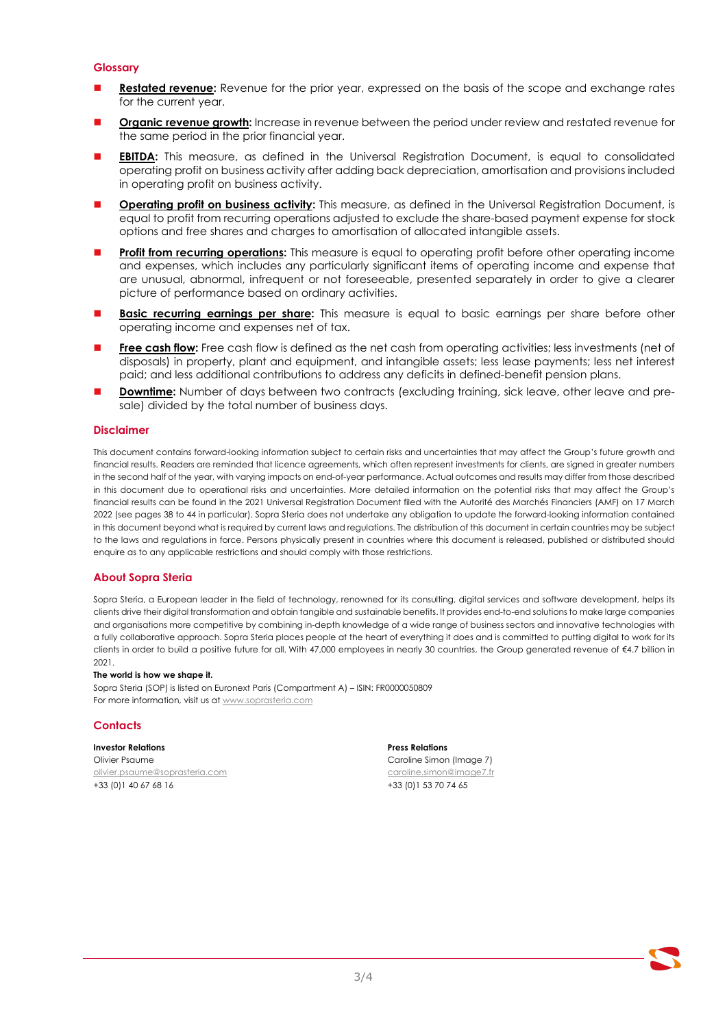### **Glossary**

- **Restated revenue:** Revenue for the prior year, expressed on the basis of the scope and exchange rates for the current year.
- **Organic revenue growth:** Increase in revenue between the period under review and restated revenue for the same period in the prior financial year.
- **EBITDA:** This measure, as defined in the Universal Registration Document, is equal to consolidated operating profit on business activity after adding back depreciation, amortisation and provisions included in operating profit on business activity.
- **Operating profit on business activity:** This measure, as defined in the Universal Registration Document, is equal to profit from recurring operations adjusted to exclude the share-based payment expense for stock options and free shares and charges to amortisation of allocated intangible assets.
- **Profit from recurring operations:** This measure is equal to operating profit before other operating income and expenses, which includes any particularly significant items of operating income and expense that are unusual, abnormal, infrequent or not foreseeable, presented separately in order to give a clearer picture of performance based on ordinary activities.
- **Basic recurring earnings per share:** This measure is equal to basic earnings per share before other operating income and expenses net of tax.
- **Free cash flow:** Free cash flow is defined as the net cash from operating activities; less investments (net of disposals) in property, plant and equipment, and intangible assets; less lease payments; less net interest paid; and less additional contributions to address any deficits in defined-benefit pension plans.
- **Downtime:** Number of days between two contracts (excluding training, sick leave, other leave and presale) divided by the total number of business days.

#### **Disclaimer**

This document contains forward-looking information subject to certain risks and uncertainties that may affect the Group's future growth and financial results. Readers are reminded that licence agreements, which often represent investments for clients, are signed in greater numbers in the second half of the year, with varying impacts on end-of-year performance. Actual outcomes and results may differ from those described in this document due to operational risks and uncertainties. More detailed information on the potential risks that may affect the Group's financial results can be found in the 2021 Universal Registration Document filed with the Autorité des Marchés Financiers (AMF) on 17 March 2022 (see pages 38 to 44 in particular). Sopra Steria does not undertake any obligation to update the forward-looking information contained in this document beyond what is required by current laws and regulations. The distribution of this document in certain countries may be subject to the laws and regulations in force. Persons physically present in countries where this document is released, published or distributed should enquire as to any applicable restrictions and should comply with those restrictions.

#### **About Sopra Steria**

Sopra Steria, a European leader in the field of technology, renowned for its consulting, digital services and software development, helps its clients drive their digital transformation and obtain tangible and sustainable benefits. It provides end-to-end solutions to make large companies and organisations more competitive by combining in-depth knowledge of a wide range of business sectors and innovative technologies with a fully collaborative approach. Sopra Steria places people at the heart of everything it does and is committed to putting digital to work for its clients in order to build a positive future for all. With 47,000 employees in nearly 30 countries, the Group generated revenue of €4.7 billion in 2021.

#### **The world is how we shape it.**

Sopra Steria (SOP) is listed on Euronext Paris (Compartment A) – ISIN: FR0000050809 For more information, visit us a[t www.soprasteria.com](http://www.soprasteria.com/)

#### **Contacts**

#### **Investor Relations Press Relations**

Olivier Psaume Caroline Simon (Image 7) [olivier.psaume@soprasteria.com](mailto:olivier.psaume@soprasteria.com) [caroline.simon@image7.fr](mailto:caroline.simon@image7.fr) +33 (0)1 40 67 68 16 +33 (0)1 53 70 74 65